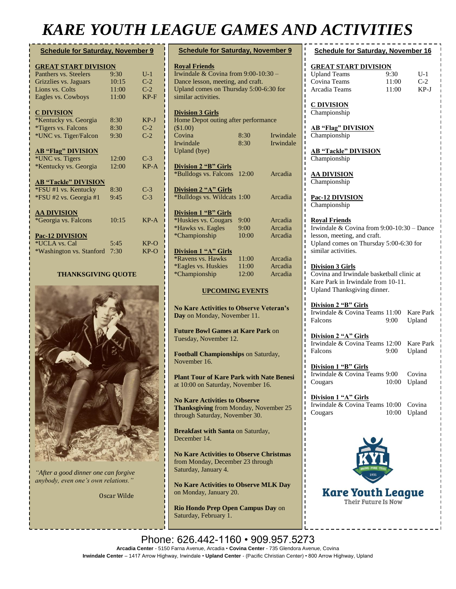# *KARE YOUTH LEAGUE GAMES AND ACTIVITIES*

| <b>Schedule for Saturday, November 9</b> |       |        |  |
|------------------------------------------|-------|--------|--|
|                                          |       |        |  |
| <b>GREAT START DIVISION</b>              |       |        |  |
| Panthers vs. Steelers                    | 9:30  | $U-1$  |  |
| Grizzlies vs. Jaguars                    | 10:15 | $C-2$  |  |
| Lions vs. Colts                          | 11:00 | $C-2$  |  |
| Eagles vs. Cowboys                       | 11:00 | $KP-F$ |  |
| <b>C DIVISION</b>                        |       |        |  |
| *Kentucky vs. Georgia                    | 8:30  | $KP-J$ |  |
| <i>*Tigers vs. Falcons</i>               | 8:30  | $C-2$  |  |
| *UNC vs. Tiger/Falcon                    | 9:30  | $C-2$  |  |
| <b>AB "Flag" DIVISION</b>                |       |        |  |
| *UNC vs. Tigers                          | 12:00 | $C-3$  |  |
| *Kentucky vs. Georgia                    | 12:00 | $KP-A$ |  |
| <b>AB "Tackle" DIVISION</b>              |       |        |  |
| *FSU #1 vs. Kentucky                     | 8:30  | $C-3$  |  |
| *FSU #2 vs. Georgia #1                   | 9:45  | $C-3$  |  |
| <b>AA DIVISION</b>                       |       |        |  |
| <i>*Georgia vs. Falcons</i>              | 10:15 | $KP-A$ |  |
| <b>Pac-12 DIVISION</b>                   |       |        |  |
| *UCLA vs. Cal                            | 5:45  | $KP-O$ |  |
| *Washington vs. Stanford                 | 7:30  | $KP-O$ |  |

#### **THANKSGIVING QUOTE**



*"After a good dinner one can forgive anybody, even one's own relations."*

Oscar Wilde

| <b>Schedule for Saturday, November 9</b>                                                                                                                           |              |           |  |  |
|--------------------------------------------------------------------------------------------------------------------------------------------------------------------|--------------|-----------|--|--|
| <b>Royal Friends</b><br>Irwindale & Covina from 9:00-10:30 -<br>Dance lesson, meeting, and craft.<br>Upland comes on Thursday 5:00-6:30 for<br>similar activities. |              |           |  |  |
| <b>Division 3 Girls</b><br>Home Depot outing after performance                                                                                                     |              |           |  |  |
| (\$1.00)                                                                                                                                                           |              |           |  |  |
| Covina                                                                                                                                                             | 8:30<br>8:30 | Irwindale |  |  |
| Irwindale<br>Upland (bye)                                                                                                                                          |              | Irwindale |  |  |
| <b>Division 2 "B" Girls</b>                                                                                                                                        |              |           |  |  |
| *Bulldogs vs. Falcons                                                                                                                                              | 12:00        | Arcadia   |  |  |
| Division 2 "A" Girls                                                                                                                                               |              |           |  |  |
| *Bulldogs vs. Wildcats 1:00                                                                                                                                        |              | Arcadia   |  |  |
| Division 1 "B" Girls                                                                                                                                               |              |           |  |  |
| *Huskies vs. Cougars                                                                                                                                               | $9:00^{-}$   | Arcadia   |  |  |
| *Hawks vs. Eagles                                                                                                                                                  | 9:00         | Arcadia   |  |  |
| *Championship                                                                                                                                                      | 10:00        | Arcadia   |  |  |
| <b>Division 1 "A" Girls</b><br>*Ravens vs. Hawks                                                                                                                   |              |           |  |  |
|                                                                                                                                                                    | 11:00        | Arcadia   |  |  |
| *Eagles vs. Huskies                                                                                                                                                | 11:00        | Arcadia   |  |  |
| *Championship                                                                                                                                                      | 12:00        | Arcadia   |  |  |
| <b>UPCOMING EVENTS</b>                                                                                                                                             |              |           |  |  |
| <b>No Kare Activities to Observe Veteran's</b><br>Day on Monday, November 11.                                                                                      |              |           |  |  |
| <b>Future Bowl Games at Kare Park on</b><br>Tuesday, November 12.                                                                                                  |              |           |  |  |
| Football Championships on Saturday,<br>November 16.                                                                                                                |              |           |  |  |
| <b>Plant Tour of Kare Park with Nate Benesi</b><br>at 10:00 on Saturday, November 16.                                                                              |              |           |  |  |
| No Kare Activities to Observe                                                                                                                                      |              |           |  |  |

**No Kare Activities to Observe Thanksgiving** from Monday, November 25 through Saturday, November 30.

**Breakfast with Santa** on Saturday, December 14.

**No Kare Activities to Observe Christmas** from Monday, December 23 through Saturday, January 4.

**No Kare Activities to Observe MLK Day** on Monday, January 20.

**Rio Hondo Prep Open Campus Day** on Saturday, February 1.

| U AUII VIIILD                                                                                                                                                        |                        |                        |  |  |
|----------------------------------------------------------------------------------------------------------------------------------------------------------------------|------------------------|------------------------|--|--|
| <b>Schedule for Saturday, November 16</b>                                                                                                                            |                        |                        |  |  |
| <b>GREAT START DIVISION</b><br>Upland Teams<br>Covina Teams<br>Arcadia Teams                                                                                         | 9:30<br>11:00<br>11:00 | $U-1$<br>$C-2$<br>KP-J |  |  |
| <u>C DIVISION</u><br>Championship                                                                                                                                    |                        |                        |  |  |
| <b>AB "Flag" DIVISION</b><br>Championship                                                                                                                            |                        |                        |  |  |
| <b>AB "Tackle" DIVISION</b><br>Championship                                                                                                                          |                        |                        |  |  |
| <u>AA DIVISION</u><br>Championship                                                                                                                                   |                        |                        |  |  |
| Pac-12 DIVISION<br>Championship                                                                                                                                      |                        |                        |  |  |
| <b>Royal Friends</b><br>Irwindale & Covina from $9:00-10:30$ – Dance<br>lesson, meeting, and craft.<br>Upland comes on Thursday 5:00-6:30 for<br>similar activities. |                        |                        |  |  |
| <b>Division 3 Girls</b><br>Covina and Irwindale basketball clinic at<br>Kare Park in Irwindale from 10-11.<br>Upland Thanksgiving dinner.                            |                        |                        |  |  |
| Division 2 "B" Girls<br>Irwindale & Covina Teams 11:00 Kare Park<br>Falcons                                                                                          | 9:00                   | Upland                 |  |  |
| Division 2 "A" Girls<br>Irwindale & Covina Teams 12:00<br>Falcons                                                                                                    | 9:00                   | Kare Park<br>Upland    |  |  |
| Division 1 "B" Girls<br>Irwindale & Covina Teams 9:00<br>Cougars                                                                                                     | 10:00                  | Covina<br>Upland       |  |  |
| Division 1 "A" Girls<br>Irwindale & Covina Teams 10:00<br>Cougars                                                                                                    |                        | Covina<br>10:00 Upland |  |  |
|                                                                                                                                                                      |                        |                        |  |  |

**Kare Youth League** Their Future Is Now

Phone: 626.442-1160 · 909.957.5273 Arcadia Center - 5150 Farna Avenue, Arcadia • Covina Center - 735 Glendora Avenue, Covina **Irwindale Center** – 1417 Arrow Highway, Irwindale • **Upland Center** - (Pacific Christian Center) • 800 Arrow Highway, Upland

**Division 2 Girls Winter Camp** from